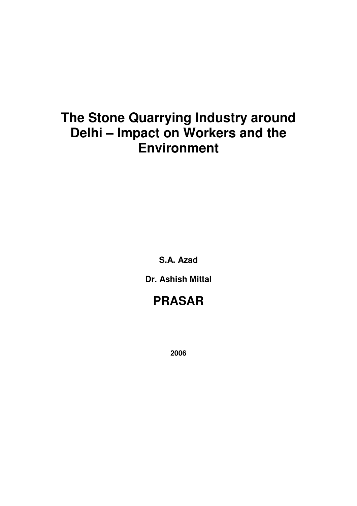# **The Stone Quarrying Industry around Delhi – Impact on Workers and the Environment**

**S.A. Azad** 

**Dr. Ashish Mittal** 

## **PRASAR**

**2006**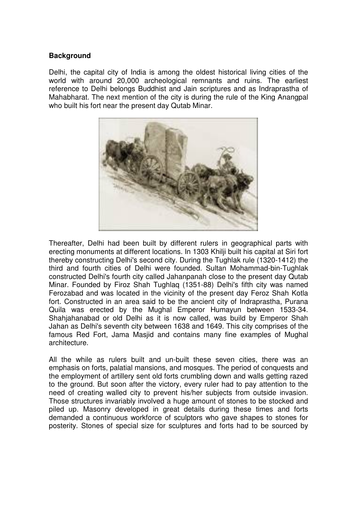#### **Background**

Delhi, the capital city of India is among the oldest historical living cities of the world with around 20,000 archeological remnants and ruins. The earliest reference to Delhi belongs Buddhist and Jain scriptures and as Indraprastha of Mahabharat. The next mention of the city is during the rule of the King Anangpal who built his fort near the present day Qutab Minar.



Thereafter, Delhi had been built by different rulers in geographical parts with erecting monuments at different locations. In 1303 Khilji built his capital at Siri fort thereby constructing Delhi's second city. During the Tughlak rule (1320-1412) the third and fourth cities of Delhi were founded. Sultan Mohammad-bin-Tughlak constructed Delhi's fourth city called Jahanpanah close to the present day Qutab Minar. Founded by Firoz Shah Tughlaq (1351-88) Delhi's fifth city was named Ferozabad and was located in the vicinity of the present day Feroz Shah Kotla fort. Constructed in an area said to be the ancient city of Indraprastha, Purana Quila was erected by the Mughal Emperor Humayun between 1533-34. Shahjahanabad or old Delhi as it is now called, was build by Emperor Shah Jahan as Delhi's seventh city between 1638 and 1649. This city comprises of the famous Red Fort, Jama Masjid and contains many fine examples of Mughal architecture.

All the while as rulers built and un-built these seven cities, there was an emphasis on forts, palatial mansions, and mosques. The period of conquests and the employment of artillery sent old forts crumbling down and walls getting razed to the ground. But soon after the victory, every ruler had to pay attention to the need of creating walled city to prevent his/her subjects from outside invasion. Those structures invariably involved a huge amount of stones to be stocked and piled up. Masonry developed in great details during these times and forts demanded a continuous workforce of sculptors who gave shapes to stones for posterity. Stones of special size for sculptures and forts had to be sourced by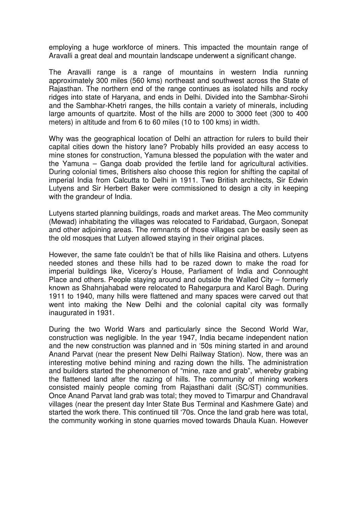employing a huge workforce of miners. This impacted the mountain range of Aravalli a great deal and mountain landscape underwent a significant change.

The Aravalli range is a range of mountains in western India running approximately 300 miles (560 kms) northeast and southwest across the State of Rajasthan. The northern end of the range continues as isolated hills and rocky ridges into state of Haryana, and ends in Delhi. Divided into the Sambhar-Sirohi and the Sambhar-Khetri ranges, the hills contain a variety of minerals, including large amounts of quartzite. Most of the hills are 2000 to 3000 feet (300 to 400 meters) in altitude and from 6 to 60 miles (10 to 100 kms) in width.

Why was the geographical location of Delhi an attraction for rulers to build their capital cities down the history lane? Probably hills provided an easy access to mine stones for construction, Yamuna blessed the population with the water and the Yamuna – Ganga doab provided the fertile land for agricultural activities. During colonial times, Britishers also choose this region for shifting the capital of imperial India from Calcutta to Delhi in 1911. Two British architects, Sir Edwin Lutyens and Sir Herbert Baker were commissioned to design a city in keeping with the grandeur of India.

Lutyens started planning buildings, roads and market areas. The Meo community (Mewad) inhabitating the villages was relocated to Faridabad, Gurgaon, Sonepat and other adjoining areas. The remnants of those villages can be easily seen as the old mosques that Lutyen allowed staying in their original places.

However, the same fate couldn't be that of hills like Raisina and others. Lutyens needed stones and these hills had to be razed down to make the road for imperial buildings like, Viceroy's House, Parliament of India and Connought Place and others. People staying around and outside the Walled City – formerly known as Shahnjahabad were relocated to Rahegarpura and Karol Bagh. During 1911 to 1940, many hills were flattened and many spaces were carved out that went into making the New Delhi and the colonial capital city was formally inaugurated in 1931.

During the two World Wars and particularly since the Second World War, construction was negligible. In the year 1947, India became independent nation and the new construction was planned and in '50s mining started in and around Anand Parvat (near the present New Delhi Railway Station). Now, there was an interesting motive behind mining and razing down the hills. The administration and builders started the phenomenon of "mine, raze and grab", whereby grabing the flattened land after the razing of hills. The community of mining workers consisted mainly people coming from Rajasthani dalit (SC/ST) communities. Once Anand Parvat land grab was total; they moved to Timarpur and Chandraval villages (near the present day Inter State Bus Terminal and Kashmere Gate) and started the work there. This continued till '70s. Once the land grab here was total, the community working in stone quarries moved towards Dhaula Kuan. However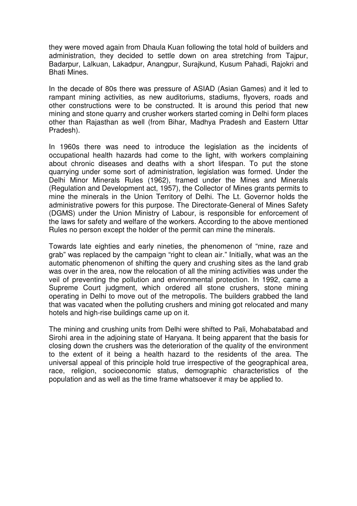they were moved again from Dhaula Kuan following the total hold of builders and administration, they decided to settle down on area stretching from Tajpur, Badarpur, Lalkuan, Lakadpur, Anangpur, Surajkund, Kusum Pahadi, Rajokri and Bhati Mines.

In the decade of 80s there was pressure of ASIAD (Asian Games) and it led to rampant mining activities, as new auditoriums, stadiums, flyovers, roads and other constructions were to be constructed. It is around this period that new mining and stone quarry and crusher workers started coming in Delhi form places other than Rajasthan as well (from Bihar, Madhya Pradesh and Eastern Uttar Pradesh).

In 1960s there was need to introduce the legislation as the incidents of occupational health hazards had come to the light, with workers complaining about chronic diseases and deaths with a short lifespan. To put the stone quarrying under some sort of administration, legislation was formed. Under the Delhi Minor Minerals Rules (1962), framed under the Mines and Minerals (Regulation and Development act, 1957), the Collector of Mines grants permits to mine the minerals in the Union Territory of Delhi. The Lt. Governor holds the administrative powers for this purpose. The Directorate-General of Mines Safety (DGMS) under the Union Ministry of Labour, is responsible for enforcement of the laws for safety and welfare of the workers. According to the above mentioned Rules no person except the holder of the permit can mine the minerals.

Towards late eighties and early nineties, the phenomenon of "mine, raze and grab" was replaced by the campaign "right to clean air." Initially, what was an the automatic phenomenon of shifting the query and crushing sites as the land grab was over in the area, now the relocation of all the mining activities was under the veil of preventing the pollution and environmental protection. In 1992, came a Supreme Court judgment, which ordered all stone crushers, stone mining operating in Delhi to move out of the metropolis. The builders grabbed the land that was vacated when the polluting crushers and mining got relocated and many hotels and high-rise buildings came up on it.

The mining and crushing units from Delhi were shifted to Pali, Mohabatabad and Sirohi area in the adjoining state of Haryana. It being apparent that the basis for closing down the crushers was the deterioration of the quality of the environment to the extent of it being a health hazard to the residents of the area. The universal appeal of this principle hold true irrespective of the geographical area, race, religion, socioeconomic status, demographic characteristics of the population and as well as the time frame whatsoever it may be applied to.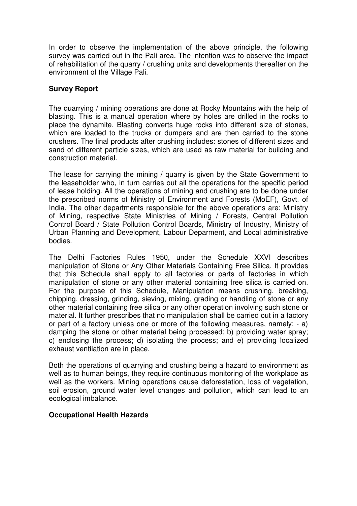In order to observe the implementation of the above principle, the following survey was carried out in the Pali area. The intention was to observe the impact of rehabilitation of the quarry / crushing units and developments thereafter on the environment of the Village Pali.

## **Survey Report**

The quarrying / mining operations are done at Rocky Mountains with the help of blasting. This is a manual operation where by holes are drilled in the rocks to place the dynamite. Blasting converts huge rocks into different size of stones, which are loaded to the trucks or dumpers and are then carried to the stone crushers. The final products after crushing includes: stones of different sizes and sand of different particle sizes, which are used as raw material for building and construction material.

The lease for carrying the mining / quarry is given by the State Government to the leaseholder who, in turn carries out all the operations for the specific period of lease holding. All the operations of mining and crushing are to be done under the prescribed norms of Ministry of Environment and Forests (MoEF), Govt. of India. The other departments responsible for the above operations are: Ministry of Mining, respective State Ministries of Mining / Forests, Central Pollution Control Board / State Pollution Control Boards, Ministry of Industry, Ministry of Urban Planning and Development, Labour Deparment, and Local administrative bodies.

The Delhi Factories Rules 1950, under the Schedule XXVI describes manipulation of Stone or Any Other Materials Containing Free Silica. It provides that this Schedule shall apply to all factories or parts of factories in which manipulation of stone or any other material containing free silica is carried on. For the purpose of this Schedule, Manipulation means crushing, breaking, chipping, dressing, grinding, sieving, mixing, grading or handling of stone or any other material containing free silica or any other operation involving such stone or material. It further prescribes that no manipulation shall be carried out in a factory or part of a factory unless one or more of the following measures, namely: - a) damping the stone or other material being processed; b) providing water spray; c) enclosing the process; d) isolating the process; and e) providing localized exhaust ventilation are in place.

Both the operations of quarrying and crushing being a hazard to environment as well as to human beings, they require continuous monitoring of the workplace as well as the workers. Mining operations cause deforestation, loss of vegetation, soil erosion, ground water level changes and pollution, which can lead to an ecological imbalance.

#### **Occupational Health Hazards**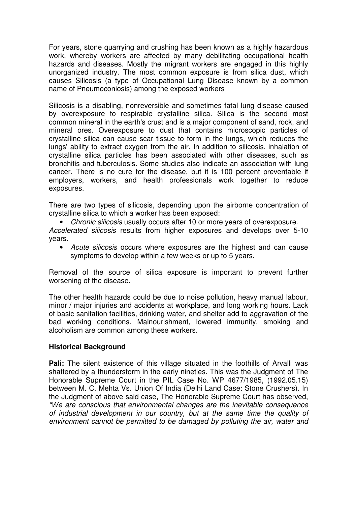For years, stone quarrying and crushing has been known as a highly hazardous work, whereby workers are affected by many debilitating occupational health hazards and diseases. Mostly the migrant workers are engaged in this highly unorganized industry. The most common exposure is from silica dust, which causes Silicosis (a type of Occupational Lung Disease known by a common name of Pneumoconiosis) among the exposed workers

Silicosis is a disabling, nonreversible and sometimes fatal lung disease caused by overexposure to respirable crystalline silica. Silica is the second most common mineral in the earth's crust and is a major component of sand, rock, and mineral ores. Overexposure to dust that contains microscopic particles of crystalline silica can cause scar tissue to form in the lungs, which reduces the lungs' ability to extract oxygen from the air. In addition to silicosis, inhalation of crystalline silica particles has been associated with other diseases, such as bronchitis and tuberculosis. Some studies also indicate an association with lung cancer. There is no cure for the disease, but it is 100 percent preventable if employers, workers, and health professionals work together to reduce exposures.

There are two types of silicosis, depending upon the airborne concentration of crystalline silica to which a worker has been exposed:

• Chronic silicosis usually occurs after 10 or more years of overexposure.

Accelerated silicosis results from higher exposures and develops over 5-10 years.

• Acute silicosis occurs where exposures are the highest and can cause symptoms to develop within a few weeks or up to 5 years.

Removal of the source of silica exposure is important to prevent further worsening of the disease.

The other health hazards could be due to noise pollution, heavy manual labour, minor / major injuries and accidents at workplace, and long working hours. Lack of basic sanitation facilities, drinking water, and shelter add to aggravation of the bad working conditions. Malnourishment, lowered immunity, smoking and alcoholism are common among these workers.

## **Historical Background**

**Pali:** The silent existence of this village situated in the foothills of Arvalli was shattered by a thunderstorm in the early nineties. This was the Judgment of The Honorable Supreme Court in the PIL Case No. WP 4677/1985, (1992.05.15) between M. C. Mehta Vs. Union Of India (Delhi Land Case: Stone Crushers). In the Judgment of above said case, The Honorable Supreme Court has observed, "We are conscious that environmental changes are the inevitable consequence of industrial development in our country, but at the same time the quality of environment cannot be permitted to be damaged by polluting the air, water and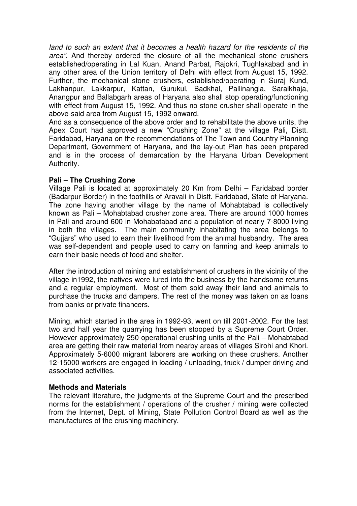land to such an extent that it becomes a health hazard for the residents of the area". And thereby ordered the closure of all the mechanical stone crushers established/operating in Lal Kuan, Anand Parbat, Rajokri, Tughlakabad and in any other area of the Union territory of Delhi with effect from August 15, 1992. Further, the mechanical stone crushers, established/operating in Suraj Kund, Lakhanpur, Lakkarpur, Kattan, Gurukul, Badkhal, Pallinangla, Saraikhaja, Anangpur and Ballabgarh areas of Haryana also shall stop operating/functioning with effect from August 15, 1992. And thus no stone crusher shall operate in the above-said area from August 15, 1992 onward.

And as a consequence of the above order and to rehabilitate the above units, the Apex Court had approved a new "Crushing Zone" at the village Pali, Distt. Faridabad, Haryana on the recommendations of The Town and Country Planning Department, Government of Haryana, and the lay-out Plan has been prepared and is in the process of demarcation by the Haryana Urban Development Authority.

#### **Pali – The Crushing Zone**

Village Pali is located at approximately 20 Km from Delhi – Faridabad border (Badarpur Border) in the foothills of Aravali in Distt. Faridabad, State of Haryana. The zone having another village by the name of Mohabtabad is collectively known as Pali – Mohabtabad crusher zone area. There are around 1000 homes in Pali and around 600 in Mohabatabad and a population of nearly 7-8000 living in both the villages. The main community inhabitating the area belongs to "Gujjars" who used to earn their livelihood from the animal husbandry. The area was self-dependent and people used to carry on farming and keep animals to earn their basic needs of food and shelter.

After the introduction of mining and establishment of crushers in the vicinity of the village in1992, the natives were lured into the business by the handsome returns and a regular employment. Most of them sold away their land and animals to purchase the trucks and dampers. The rest of the money was taken on as loans from banks or private financers.

Mining, which started in the area in 1992-93, went on till 2001-2002. For the last two and half year the quarrying has been stooped by a Supreme Court Order. However approximately 250 operational crushing units of the Pali – Mohabtabad area are getting their raw material from nearby areas of villages Sirohi and Khori. Approximately 5-6000 migrant laborers are working on these crushers. Another 12-15000 workers are engaged in loading / unloading, truck / dumper driving and associated activities.

#### **Methods and Materials**

The relevant literature, the judgments of the Supreme Court and the prescribed norms for the establishment / operations of the crusher / mining were collected from the Internet, Dept. of Mining, State Pollution Control Board as well as the manufactures of the crushing machinery.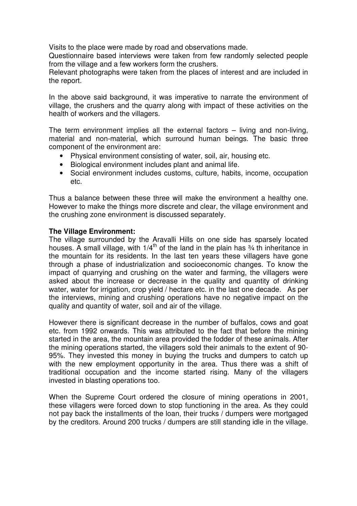Visits to the place were made by road and observations made.

Questionnaire based interviews were taken from few randomly selected people from the village and a few workers form the crushers.

Relevant photographs were taken from the places of interest and are included in the report.

In the above said background, it was imperative to narrate the environment of village, the crushers and the quarry along with impact of these activities on the health of workers and the villagers.

The term environment implies all the external factors – living and non-living, material and non-material, which surround human beings. The basic three component of the environment are:

- Physical environment consisting of water, soil, air, housing etc.
- Biological environment includes plant and animal life.
- Social environment includes customs, culture, habits, income, occupation etc.

Thus a balance between these three will make the environment a healthy one. However to make the things more discrete and clear, the village environment and the crushing zone environment is discussed separately.

#### **The Village Environment:**

The village surrounded by the Aravalli Hills on one side has sparsely located houses. A small village, with  $1/4$ <sup>th</sup> of the land in the plain has  $\frac{3}{4}$  th inheritance in the mountain for its residents. In the last ten years these villagers have gone through a phase of industrialization and socioeconomic changes. To know the impact of quarrying and crushing on the water and farming, the villagers were asked about the increase or decrease in the quality and quantity of drinking water, water for irrigation, crop yield / hectare etc. in the last one decade. As per the interviews, mining and crushing operations have no negative impact on the quality and quantity of water, soil and air of the village.

However there is significant decrease in the number of buffalos, cows and goat etc. from 1992 onwards. This was attributed to the fact that before the mining started in the area, the mountain area provided the fodder of these animals. After the mining operations started, the villagers sold their animals to the extent of 90- 95%. They invested this money in buying the trucks and dumpers to catch up with the new employment opportunity in the area. Thus there was a shift of traditional occupation and the income started rising. Many of the villagers invested in blasting operations too.

When the Supreme Court ordered the closure of mining operations in 2001, these villagers were forced down to stop functioning in the area. As they could not pay back the installments of the loan, their trucks / dumpers were mortgaged by the creditors. Around 200 trucks / dumpers are still standing idle in the village.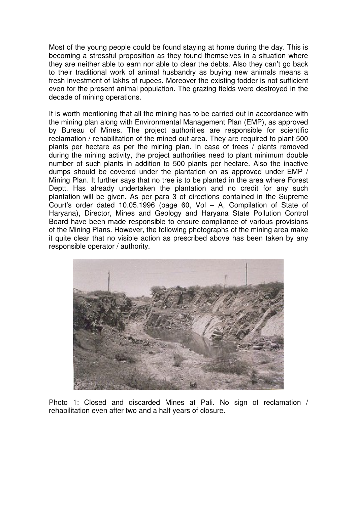Most of the young people could be found staying at home during the day. This is becoming a stressful proposition as they found themselves in a situation where they are neither able to earn nor able to clear the debts. Also they can't go back to their traditional work of animal husbandry as buying new animals means a fresh investment of lakhs of rupees. Moreover the existing fodder is not sufficient even for the present animal population. The grazing fields were destroyed in the decade of mining operations.

It is worth mentioning that all the mining has to be carried out in accordance with the mining plan along with Environmental Management Plan (EMP), as approved by Bureau of Mines. The project authorities are responsible for scientific reclamation / rehabilitation of the mined out area. They are required to plant 500 plants per hectare as per the mining plan. In case of trees / plants removed during the mining activity, the project authorities need to plant minimum double number of such plants in addition to 500 plants per hectare. Also the inactive dumps should be covered under the plantation on as approved under EMP / Mining Plan. It further says that no tree is to be planted in the area where Forest Deptt. Has already undertaken the plantation and no credit for any such plantation will be given. As per para 3 of directions contained in the Supreme Court's order dated 10.05.1996 (page 60, Vol – A, Compilation of State of Haryana), Director, Mines and Geology and Haryana State Pollution Control Board have been made responsible to ensure compliance of various provisions of the Mining Plans. However, the following photographs of the mining area make it quite clear that no visible action as prescribed above has been taken by any responsible operator / authority.



Photo 1: Closed and discarded Mines at Pali. No sign of reclamation / rehabilitation even after two and a half years of closure.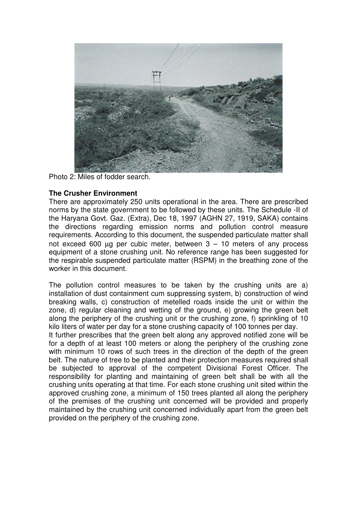

Photo 2: Miles of fodder search.

## **The Crusher Environment**

There are approximately 250 units operational in the area. There are prescribed norms by the state government to be followed by these units. The Schedule -II of the Haryana Govt. Gaz. (Extra), Dec 18, 1997 (AGHN 27, 1919, SAKA) contains the directions regarding emission norms and pollution control measure requirements. According to this document, the suspended particulate matter shall not exceed 600  $\mu$ g per cubic meter, between  $3 - 10$  meters of any process equipment of a stone crushing unit. No reference range has been suggested for the respirable suspended particulate matter (RSPM) in the breathing zone of the worker in this document.

The pollution control measures to be taken by the crushing units are a) installation of dust containment cum suppressing system, b) construction of wind breaking walls, c) construction of metelled roads inside the unit or within the zone, d) regular cleaning and wetting of the ground, e) growing the green belt along the periphery of the crushing unit or the crushing zone, f) sprinkling of 10 kilo liters of water per day for a stone crushing capacity of 100 tonnes per day. It further prescribes that the green belt along any approved notified zone will be for a depth of at least 100 meters or along the periphery of the crushing zone with minimum 10 rows of such trees in the direction of the depth of the green belt. The nature of tree to be planted and their protection measures required shall be subjected to approval of the competent Divisional Forest Officer. The responsibility for planting and maintaining of green belt shall be with all the crushing units operating at that time. For each stone crushing unit sited within the approved crushing zone, a minimum of 150 trees planted all along the periphery of the premises of the crushing unit concerned will be provided and properly maintained by the crushing unit concerned individually apart from the green belt provided on the periphery of the crushing zone.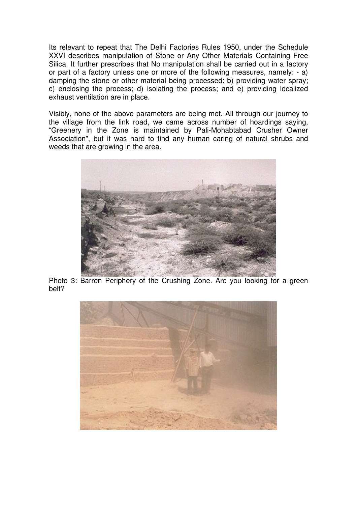Its relevant to repeat that The Delhi Factories Rules 1950, under the Schedule XXVI describes manipulation of Stone or Any Other Materials Containing Free Silica. It further prescribes that No manipulation shall be carried out in a factory or part of a factory unless one or more of the following measures, namely: - a) damping the stone or other material being processed; b) providing water spray; c) enclosing the process; d) isolating the process; and e) providing localized exhaust ventilation are in place.

Visibly, none of the above parameters are being met. All through our journey to the village from the link road, we came across number of hoardings saying, "Greenery in the Zone is maintained by Pali-Mohabtabad Crusher Owner Association", but it was hard to find any human caring of natural shrubs and weeds that are growing in the area.



Photo 3: Barren Periphery of the Crushing Zone. Are you looking for a green belt?

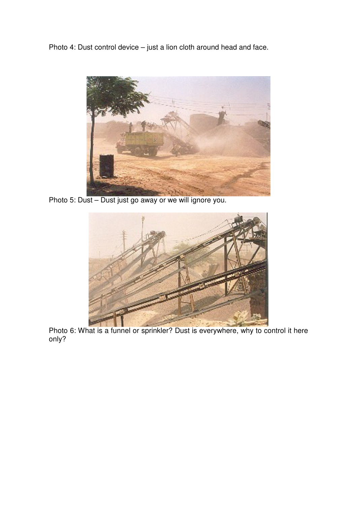Photo 4: Dust control device – just a lion cloth around head and face.



Photo 5: Dust – Dust just go away or we will ignore you.



Photo 6: What is a funnel or sprinkler? Dust is everywhere, why to control it here only?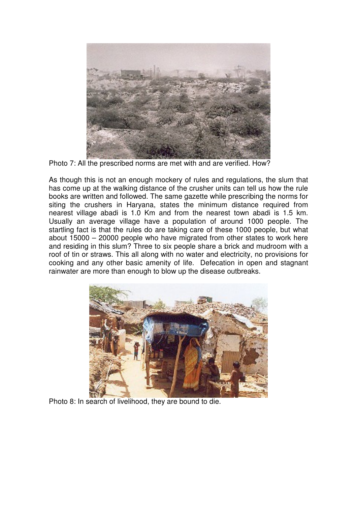

Photo 7: All the prescribed norms are met with and are verified. How?

As though this is not an enough mockery of rules and regulations, the slum that has come up at the walking distance of the crusher units can tell us how the rule books are written and followed. The same gazette while prescribing the norms for siting the crushers in Haryana, states the minimum distance required from nearest village abadi is 1.0 Km and from the nearest town abadi is 1.5 km. Usually an average village have a population of around 1000 people. The startling fact is that the rules do are taking care of these 1000 people, but what about 15000 – 20000 people who have migrated from other states to work here and residing in this slum? Three to six people share a brick and mudroom with a roof of tin or straws. This all along with no water and electricity, no provisions for cooking and any other basic amenity of life. Defecation in open and stagnant rainwater are more than enough to blow up the disease outbreaks.



Photo 8: In search of livelihood, they are bound to die.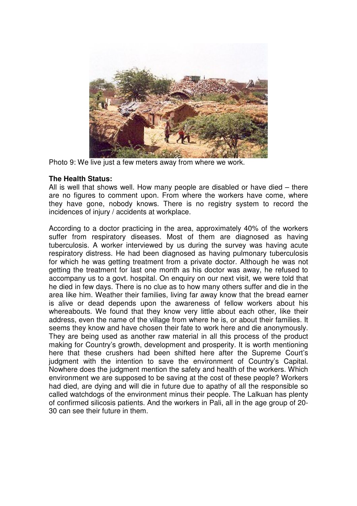

Photo 9: We live just a few meters away from where we work.

#### **The Health Status:**

All is well that shows well. How many people are disabled or have died – there are no figures to comment upon. From where the workers have come, where they have gone, nobody knows. There is no registry system to record the incidences of injury / accidents at workplace.

According to a doctor practicing in the area, approximately 40% of the workers suffer from respiratory diseases. Most of them are diagnosed as having tuberculosis. A worker interviewed by us during the survey was having acute respiratory distress. He had been diagnosed as having pulmonary tuberculosis for which he was getting treatment from a private doctor. Although he was not getting the treatment for last one month as his doctor was away, he refused to accompany us to a govt. hospital. On enquiry on our next visit, we were told that he died in few days. There is no clue as to how many others suffer and die in the area like him. Weather their families, living far away know that the bread earner is alive or dead depends upon the awareness of fellow workers about his whereabouts. We found that they know very little about each other, like their address, even the name of the village from where he is, or about their families. It seems they know and have chosen their fate to work here and die anonymously. They are being used as another raw material in all this process of the product making for Country's growth, development and prosperity. It is worth mentioning here that these crushers had been shifted here after the Supreme Court's judgment with the intention to save the environment of Country's Capital. Nowhere does the judgment mention the safety and health of the workers. Which environment we are supposed to be saving at the cost of these people? Workers had died, are dying and will die in future due to apathy of all the responsible so called watchdogs of the environment minus their people. The Lalkuan has plenty of confirmed silicosis patients. And the workers in Pali, all in the age group of 20- 30 can see their future in them.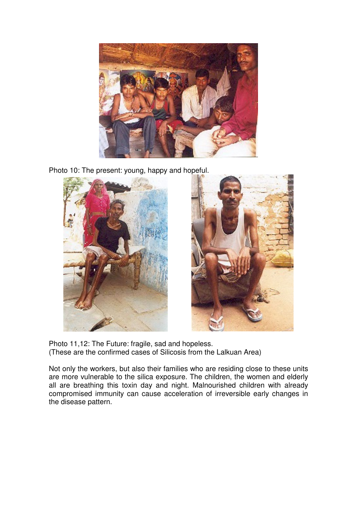

Photo 10: The present: young, happy and hopeful.



Photo 11,12: The Future: fragile, sad and hopeless. (These are the confirmed cases of Silicosis from the Lalkuan Area)

Not only the workers, but also their families who are residing close to these units are more vulnerable to the silica exposure. The children, the women and elderly all are breathing this toxin day and night. Malnourished children with already compromised immunity can cause acceleration of irreversible early changes in the disease pattern.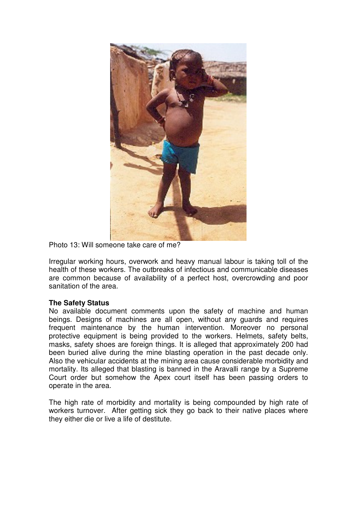

Photo 13: Will someone take care of me?

Irregular working hours, overwork and heavy manual labour is taking toll of the health of these workers. The outbreaks of infectious and communicable diseases are common because of availability of a perfect host, overcrowding and poor sanitation of the area.

## **The Safety Status**

No available document comments upon the safety of machine and human beings. Designs of machines are all open, without any guards and requires frequent maintenance by the human intervention. Moreover no personal protective equipment is being provided to the workers. Helmets, safety belts, masks, safety shoes are foreign things. It is alleged that approximately 200 had been buried alive during the mine blasting operation in the past decade only. Also the vehicular accidents at the mining area cause considerable morbidity and mortality. Its alleged that blasting is banned in the Aravalli range by a Supreme Court order but somehow the Apex court itself has been passing orders to operate in the area.

The high rate of morbidity and mortality is being compounded by high rate of workers turnover. After getting sick they go back to their native places where they either die or live a life of destitute.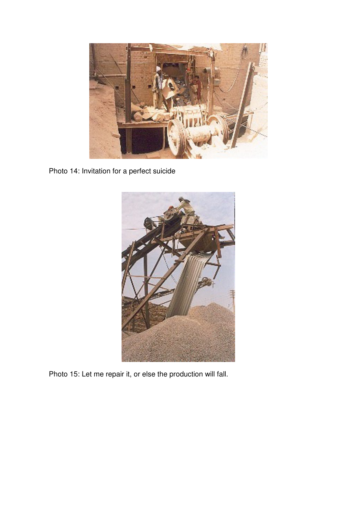

Photo 14: Invitation for a perfect suicide



Photo 15: Let me repair it, or else the production will fall.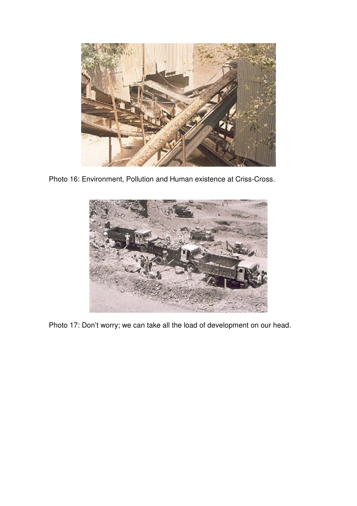

Photo 16: Environment, Pollution and Human existence at Criss-Cross.



Photo 17: Don't worry; we can take all the load of development on our head.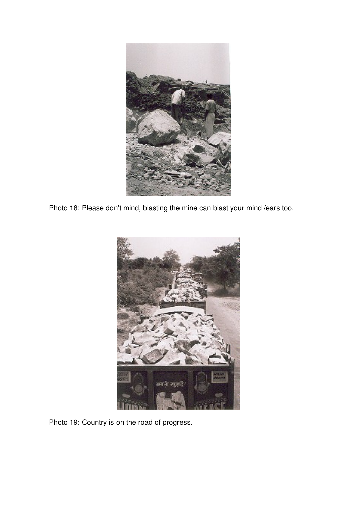

Photo 18: Please don't mind, blasting the mine can blast your mind /ears too.



Photo 19: Country is on the road of progress.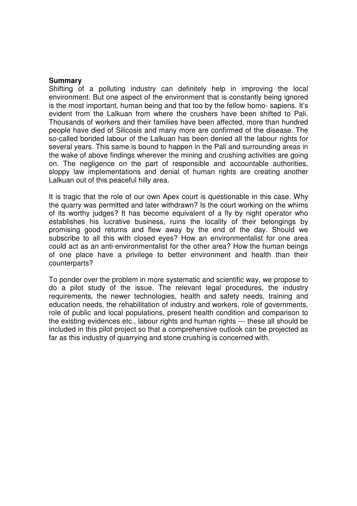#### **Summary**

Shifting of a polluting industry can definitely help in improving the local environment. But one aspect of the environment that is constantly being ignored is the most important, human being and that too by the fellow homo- sapiens. It's evident from the Lalkuan from where the crushers have been shifted to Pali. Thousands of workers and their families have been affected, more than hundred people have died of Silicosis and many more are confirmed of the disease. The so-called bonded labour of the Lalkuan has been denied all the labour rights for several years. This same is bound to happen in the Pali and surrounding areas in the wake of above findings wherever the mining and crushing activities are going on. The negligence on the part of responsible and accountable authorities, sloppy law implementations and denial of human rights are creating another Lalkuan out of this peaceful hilly area.

It is tragic that the role of our own Apex court is questionable in this case. Why the quarry was permitted and later withdrawn? Is the court working on the whims of its worthy judges? It has become equivalent of a fly by night operator who establishes his lucrative business, ruins the locality of their belongings by promising good returns and flew away by the end of the day. Should we subscribe to all this with closed eyes? How an environmentalist for one area could act as an anti-environmentalist for the other area? How the human beings of one place have a privilege to better environment and health than their counterparts?

To ponder over the problem in more systematic and scientific way, we propose to do a pilot study of the issue. The relevant legal procedures, the industry requirements, the newer technologies, health and safety needs, training and education needs, the rehabilitation of industry and workers, role of governments, role of public and local populations, present health condition and comparison to the existing evidences etc., labour rights and human rights --- these all should be included in this pilot project so that a comprehensive outlook can be projected as far as this industry of quarrying and stone crushing is concerned with.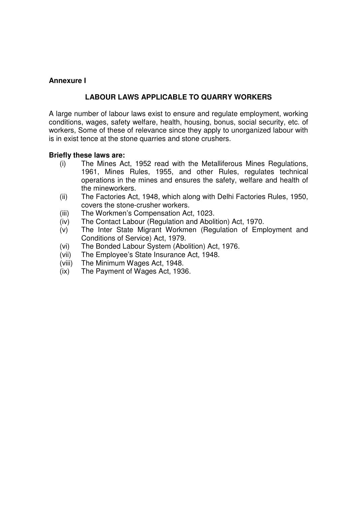## **Annexure I**

## **LABOUR LAWS APPLICABLE TO QUARRY WORKERS**

A large number of labour laws exist to ensure and regulate employment, working conditions, wages, safety welfare, health, housing, bonus, social security, etc. of workers, Some of these of relevance since they apply to unorganized labour with is in exist tence at the stone quarries and stone crushers.

#### **Briefly these laws are:**

- (i) The Mines Act, 1952 read with the Metalliferous Mines Regulations, 1961, Mines Rules, 1955, and other Rules, regulates technical operations in the mines and ensures the safety, welfare and health of the mineworkers.
- (ii) The Factories Act, 1948, which along with Delhi Factories Rules, 1950, covers the stone-crusher workers.
- (iii) The Workmen's Compensation Act, 1023.
- (iv) The Contact Labour (Regulation and Abolition) Act, 1970.
- (v) The Inter State Migrant Workmen (Regulation of Employment and Conditions of Service) Act, 1979.
- (vi) The Bonded Labour System (Abolition) Act, 1976.
- (vii) The Employee's State Insurance Act, 1948.
- (viii) The Minimum Wages Act, 1948.
- (ix) The Payment of Wages Act, 1936.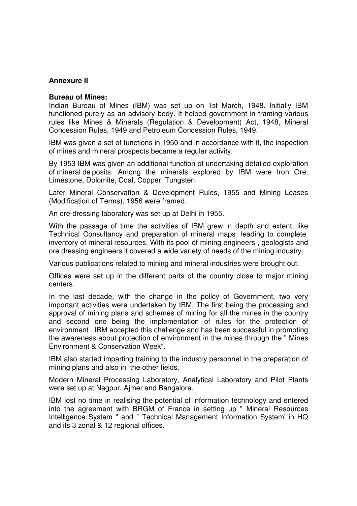#### **Annexure II**

#### **Bureau of Mines:**

Indian Bureau of Mines (IBM) was set up on 1st March, 1948. Initially IBM functioned purely as an advisory body. It helped government in framing various rules like Mines & Minerals (Regulation & Development) Act, 1948, Mineral Concession Rules, 1949 and Petroleum Concession Rules, 1949.

IBM was given a set of functions in 1950 and in accordance with it, the inspection of mines and mineral prospects became a regular activity.

By 1953 IBM was given an additional function of undertaking detailed exploration of mineral de posits. Among the minerals explored by IBM were Iron Ore, Limestone, Dolomite, Coal, Copper, Tungsten.

Later Mineral Conservation & Development Rules, 1955 and Mining Leases (Modification of Terms), 1956 were framed.

An ore-dressing laboratory was set up at Delhi in 1955.

With the passage of time the activities of IBM grew in depth and extent like Technical Consultancy and preparation of mineral maps leading to complete inventory of mineral resources. With its pool of mining engineers , geologists and ore dressing engineers it covered a wide variety of needs of the mining industry.

Various publications related to mining and mineral industries were brought out.

Offices were set up in the different parts of the country close to major mining centers.

In the last decade, with the change in the policy of Government, two very important activities were undertaken by IBM. The first being the processing and approval of mining plans and schemes of mining for all the mines in the country and second one being the implementation of rules for the protection of environment . IBM accepted this challenge and has been successful in promoting the awareness about protection of environment in the mines through the " Mines Environment & Conservation Week".

IBM also started imparting training to the industry personnel in the preparation of mining plans and also in the other fields.

Modern Mineral Processing Laboratory, Analytical Laboratory and Pilot Plants were set up at Nagpur, Ajmer and Bangalore.

IBM lost no time in realising the potential of information technology and entered into the agreement with BRGM of France in setting up " Mineral Resources Intelligence System " and " Technical Management Information System" in HQ and its 3 zonal & 12 regional offices.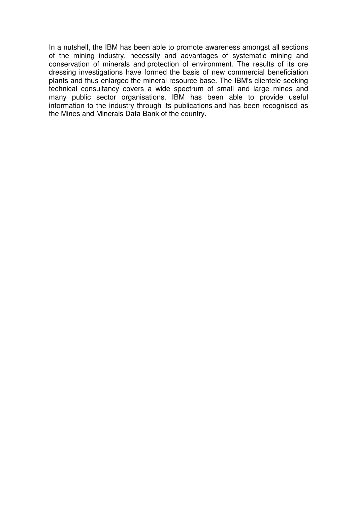In a nutshell, the IBM has been able to promote awareness amongst all sections of the mining industry, necessity and advantages of systematic mining and conservation of minerals and protection of environment. The results of its ore dressing investigations have formed the basis of new commercial beneficiation plants and thus enlarged the mineral resource base. The IBM's clientele seeking technical consultancy covers a wide spectrum of small and large mines and many public sector organisations. IBM has been able to provide useful information to the industry through its publications and has been recognised as the Mines and Minerals Data Bank of the country.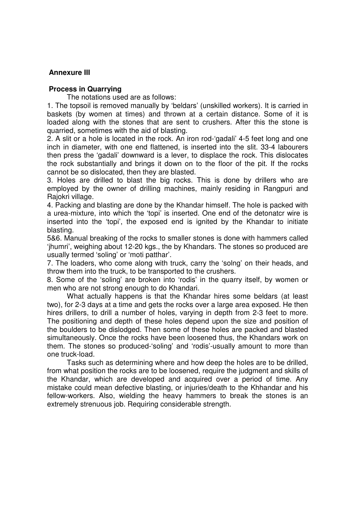#### **Annexure III**

#### **Process in Quarrying**

The notations used are as follows:

1. The topsoil is removed manually by 'beldars' (unskilled workers). It is carried in baskets (by women at times) and thrown at a certain distance. Some of it is loaded along with the stones that are sent to crushers. After this the stone is quarried, sometimes with the aid of blasting.

2. A slit or a hole is located in the rock. An iron rod-'gadali' 4-5 feet long and one inch in diameter, with one end flattened, is inserted into the slit. 33-4 labourers then press the 'gadali' downward is a lever, to displace the rock. This dislocates the rock substantially and brings it down on to the floor of the pit. If the rocks cannot be so dislocated, then they are blasted.

3. Holes are drilled to blast the big rocks. This is done by drillers who are employed by the owner of drilling machines, mainly residing in Rangpuri and Rajokri village.

4. Packing and blasting are done by the Khandar himself. The hole is packed with a urea-mixture, into which the 'topi' is inserted. One end of the detonatcr wire is inserted into the 'topi', the exposed end is ignited by the Khandar to initiate blasting.

5&6. Manual breaking of the rocks to smaller stones is done with hammers called 'jhumri', weighing about 12-20 kgs., the by Khandars. The stones so produced are usually termed 'soling' or 'moti patthar'.

7. The loaders, who come along with truck, carry the 'solng' on their heads, and throw them into the truck, to be transported to the crushers.

8. Some of the 'soling' are broken into 'rodis' in the quarry itself, by women or men who are not strong enough to do Khandari.

 What actually happens is that the Khandar hires some beldars (at least two), for 2-3 days at a time and gets the rocks over a large area exposed. He then hires drillers, to drill a number of holes, varying in depth from 2-3 feet to more. The positioning and depth of these holes depend upon the size and position of the boulders to be dislodged. Then some of these holes are packed and blasted simultaneously. Once the rocks have been loosened thus, the Khandars work on them. The stones so produced-'soling' and 'rodis'-usually amount to more than one truck-load.

 Tasks such as determining where and how deep the holes are to be drilled, from what position the rocks are to be loosened, require the judgment and skills of the Khandar, which are developed and acquired over a period of time. Any mistake could mean defective blasting, or injuries/death to the Khhandar and his fellow-workers. Also, wielding the heavy hammers to break the stones is an extremely strenuous job. Requiring considerable strength.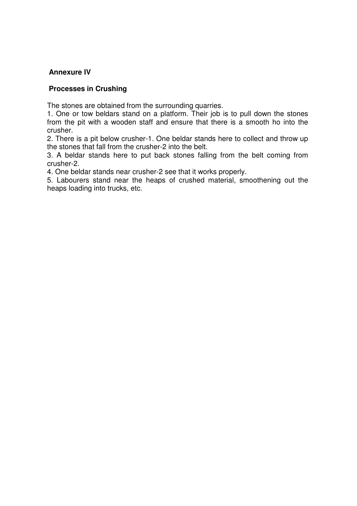## **Annexure IV**

#### **Processes in Crushing**

The stones are obtained from the surrounding quarries.

1. One or tow beldars stand on a platform. Their job is to pull down the stones from the pit with a wooden staff and ensure that there is a smooth ho into the crusher.

2. There is a pit below crusher-1. One beldar stands here to collect and throw up the stones that fall from the crusher-2 into the belt.

3. A beldar stands here to put back stones falling from the belt coming from crusher-2.

4. One beldar stands near crusher-2 see that it works properly.

5. Labourers stand near the heaps of crushed material, smoothening out the heaps loading into trucks, etc.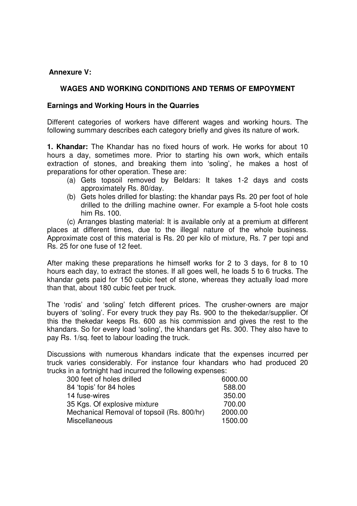#### **Annexure V:**

## **WAGES AND WORKING CONDITIONS AND TERMS OF EMPOYMENT**

#### **Earnings and Working Hours in the Quarries**

Different categories of workers have different wages and working hours. The following summary describes each category briefly and gives its nature of work.

**1. Khandar:** The Khandar has no fixed hours of work. He works for about 10 hours a day, sometimes more. Prior to starting his own work, which entails extraction of stones, and breaking them into 'soling', he makes a host of preparations for other operation. These are:

- (a) Gets topsoil removed by Beldars: It takes 1-2 days and costs approximately Rs. 80/day.
- (b) Gets holes drilled for blasting: the khandar pays Rs. 20 per foot of hole drilled to the drilling machine owner. For example a 5-foot hole costs him Rs. 100.

 (c) Arranges blasting material: It is available only at a premium at different places at different times, due to the illegal nature of the whole business. Approximate cost of this material is Rs. 20 per kilo of mixture, Rs. 7 per topi and Rs. 25 for one fuse of 12 feet.

After making these preparations he himself works for 2 to 3 days, for 8 to 10 hours each day, to extract the stones. If all goes well, he loads 5 to 6 trucks. The khandar gets paid for 150 cubic feet of stone, whereas they actually load more than that, about 180 cubic feet per truck.

The 'rodis' and 'soling' fetch different prices. The crusher-owners are major buyers of 'soling'. For every truck they pay Rs. 900 to the thekedar/supplier. Of this the thekedar keeps Rs. 600 as his commission and gives the rest to the khandars. So for every load 'soling', the khandars get Rs. 300. They also have to pay Rs. 1/sq. feet to labour loading the truck.

Discussions with numerous khandars indicate that the expenses incurred per truck varies considerably. For instance four khandars who had produced 20 trucks in a fortnight had incurred the following expenses:

| 300 feet of holes drilled                  | 6000.00 |
|--------------------------------------------|---------|
| 84 'topis' for 84 holes                    | 588.00  |
| 14 fuse-wires                              | 350.00  |
| 35 Kgs. Of explosive mixture               | 700.00  |
| Mechanical Removal of topsoil (Rs. 800/hr) | 2000.00 |
| <b>Miscellaneous</b>                       | 1500.00 |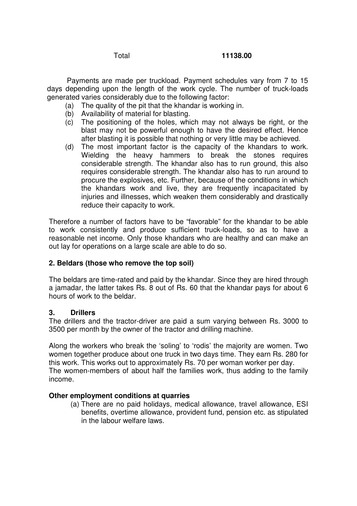Payments are made per truckload. Payment schedules vary from 7 to 15 days depending upon the length of the work cycle. The number of truck-loads generated varies considerably due to the following factor:

- (a) The quality of the pit that the khandar is working in.
- (b) Availability of material for blasting.
- (c) The positioning of the holes, which may not always be right, or the blast may not be powerful enough to have the desired effect. Hence after blasting it is possible that nothing or very little may be achieved.
- (d) The most important factor is the capacity of the khandars to work. Wielding the heavy hammers to break the stones requires considerable strength. The khandar also has to run ground, this also requires considerable strength. The khandar also has to run around to procure the explosives, etc. Further, because of the conditions in which the khandars work and live, they are frequently incapacitated by injuries and illnesses, which weaken them considerably and drastically reduce their capacity to work.

Therefore a number of factors have to be "favorable" for the khandar to be able to work consistently and produce sufficient truck-loads, so as to have a reasonable net income. Only those khandars who are healthy and can make an out lay for operations on a large scale are able to do so.

## **2. Beldars (those who remove the top soil)**

The beldars are time-rated and paid by the khandar. Since they are hired through a jamadar, the latter takes Rs. 8 out of Rs. 60 that the khandar pays for about 6 hours of work to the beldar.

#### **3. Drillers**

The drillers and the tractor-driver are paid a sum varying between Rs. 3000 to 3500 per month by the owner of the tractor and drilling machine.

Along the workers who break the 'soling' to 'rodis' the majority are women. Two women together produce about one truck in two days time. They earn Rs. 280 for this work. This works out to approximately Rs. 70 per woman worker per day. The women-members of about half the families work, thus adding to the family income.

#### **Other employment conditions at quarries**

(a) There are no paid holidays, medical allowance, travel allowance, ESI benefits, overtime allowance, provident fund, pension etc. as stipulated in the labour welfare laws.